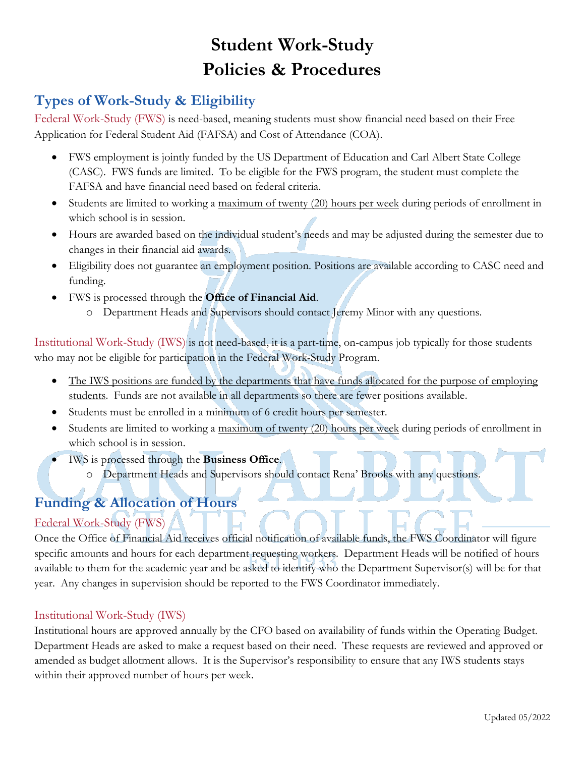# **Student Work-Study Policies & Procedures**

# **Types of Work-Study & Eligibility**

Federal Work-Study (FWS) is need-based, meaning students must show financial need based on their Free Application for Federal Student Aid (FAFSA) and Cost of Attendance (COA).

- FWS employment is jointly funded by the US Department of Education and Carl Albert State College (CASC). FWS funds are limited. To be eligible for the FWS program, the student must complete the FAFSA and have financial need based on federal criteria.
- Students are limited to working a maximum of twenty (20) hours per week during periods of enrollment in which school is in session.
- Hours are awarded based on the individual student's needs and may be adjusted during the semester due to changes in their financial aid awards.
- Eligibility does not guarantee an employment position. Positions are available according to CASC need and funding.
- FWS is processed through the **Office of Financial Aid**.
	- o Department Heads and Supervisors should contact Jeremy Minor with any questions.

Institutional Work-Study (IWS) is not need-based, it is a part-time, on-campus job typically for those students who may not be eligible for participation in the Federal Work-Study Program.

- The IWS positions are funded by the departments that have funds allocated for the purpose of employing students. Funds are not available in all departments so there are fewer positions available.
- Students must be enrolled in a minimum of 6 credit hours per semester.
- Students are limited to working a maximum of twenty (20) hours per week during periods of enrollment in which school is in session.
- IWS is processed through the **Business Office**.
	- o Department Heads and Supervisors should contact Rena' Brooks with any questions.

# **Funding & Allocation of Hours**

### Federal Work-Study (FWS)

Once the Office of Financial Aid receives official notification of available funds, the FWS Coordinator will figure specific amounts and hours for each department requesting workers. Department Heads will be notified of hours available to them for the academic year and be asked to identify who the Department Supervisor(s) will be for that year. Any changes in supervision should be reported to the FWS Coordinator immediately.

### Institutional Work-Study (IWS)

Institutional hours are approved annually by the CFO based on availability of funds within the Operating Budget. Department Heads are asked to make a request based on their need. These requests are reviewed and approved or amended as budget allotment allows. It is the Supervisor's responsibility to ensure that any IWS students stays within their approved number of hours per week.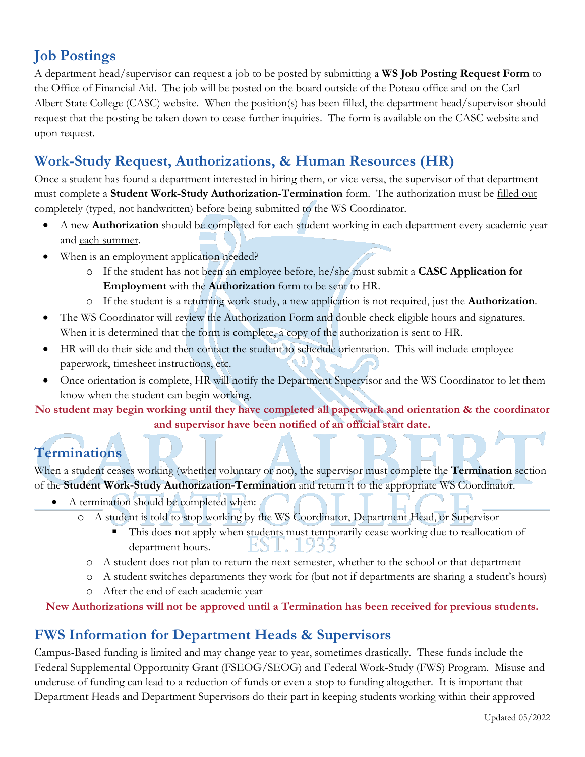# **Job Postings**

A department head/supervisor can request a job to be posted by submitting a **WS Job Posting Request Form** to the Office of Financial Aid. The job will be posted on the board outside of the Poteau office and on the Carl Albert State College (CASC) website. When the position(s) has been filled, the department head/supervisor should request that the posting be taken down to cease further inquiries. The form is available on the CASC website and upon request.

# **Work-Study Request, Authorizations, & Human Resources (HR)**

Once a student has found a department interested in hiring them, or vice versa, the supervisor of that department must complete a **Student Work-Study Authorization-Termination** form. The authorization must be filled out completely (typed, not handwritten) before being submitted to the WS Coordinator.

- A new **Authorization** should be completed for each student working in each department every academic year and each summer.
- When is an employment application needed?
	- o If the student has not been an employee before, he/she must submit a **CASC Application for Employment** with the **Authorization** form to be sent to HR.
	- o If the student is a returning work-study, a new application is not required, just the **Authorization**.
- The WS Coordinator will review the Authorization Form and double check eligible hours and signatures. When it is determined that the form is complete, a copy of the authorization is sent to HR.
- HR will do their side and then contact the student to schedule orientation. This will include employee paperwork, timesheet instructions, etc.
- Once orientation is complete, HR will notify the Department Supervisor and the WS Coordinator to let them know when the student can begin working.

**No student may begin working until they have completed all paperwork and orientation & the coordinator and supervisor have been notified of an official start date.**

# **Terminations**

When a student ceases working (whether voluntary or not), the supervisor must complete the **Termination** section of the **Student Work-Study Authorization-Termination** and return it to the appropriate WS Coordinator.

- A termination should be completed when:
	- o A student is told to stop working by the WS Coordinator, Department Head, or Supervisor
		- This does not apply when students must temporarily cease working due to reallocation of department hours.
		- o A student does not plan to return the next semester, whether to the school or that department
		- o A student switches departments they work for (but not if departments are sharing a student's hours)
		- o After the end of each academic year

**New Authorizations will not be approved until a Termination has been received for previous students.**

# **FWS Information for Department Heads & Supervisors**

Campus-Based funding is limited and may change year to year, sometimes drastically. These funds include the Federal Supplemental Opportunity Grant (FSEOG/SEOG) and Federal Work-Study (FWS) Program. Misuse and underuse of funding can lead to a reduction of funds or even a stop to funding altogether. It is important that Department Heads and Department Supervisors do their part in keeping students working within their approved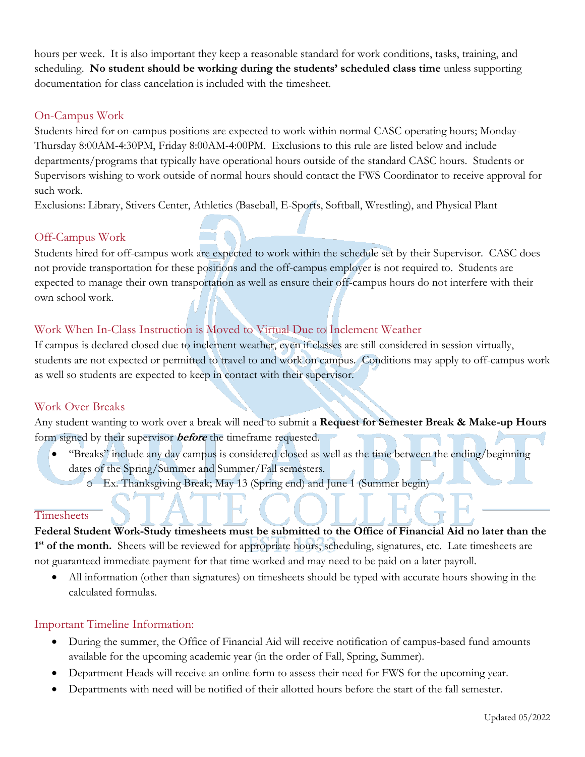hours per week. It is also important they keep a reasonable standard for work conditions, tasks, training, and scheduling. **No student should be working during the students' scheduled class time** unless supporting documentation for class cancelation is included with the timesheet.

### On-Campus Work

Students hired for on-campus positions are expected to work within normal CASC operating hours; Monday-Thursday 8:00AM-4:30PM, Friday 8:00AM-4:00PM. Exclusions to this rule are listed below and include departments/programs that typically have operational hours outside of the standard CASC hours. Students or Supervisors wishing to work outside of normal hours should contact the FWS Coordinator to receive approval for such work.

Exclusions: Library, Stivers Center, Athletics (Baseball, E-Sports, Softball, Wrestling), and Physical Plant

### Off-Campus Work

Students hired for off-campus work are expected to work within the schedule set by their Supervisor. CASC does not provide transportation for these positions and the off-campus employer is not required to. Students are expected to manage their own transportation as well as ensure their off-campus hours do not interfere with their own school work.

### Work When In-Class Instruction is Moved to Virtual Due to Inclement Weather

If campus is declared closed due to inclement weather, even if classes are still considered in session virtually, students are not expected or permitted to travel to and work on campus. Conditions may apply to off-campus work as well so students are expected to keep in contact with their supervisor.

### Work Over Breaks

Any student wanting to work over a break will need to submit a **Request for Semester Break & Make-up Hours** form signed by their supervisor **before** the timeframe requested.

- "Breaks" include any day campus is considered closed as well as the time between the ending/beginning dates of the Spring/Summer and Summer/Fall semesters.
	- o Ex. Thanksgiving Break; May 13 (Spring end) and June 1 (Summer begin)

### **Timesheets**

**Federal Student Work-Study timesheets must be submitted to the Office of Financial Aid no later than the**  1<sup>st</sup> of the month. Sheets will be reviewed for appropriate hours, scheduling, signatures, etc. Late timesheets are not guaranteed immediate payment for that time worked and may need to be paid on a later payroll.

• All information (other than signatures) on timesheets should be typed with accurate hours showing in the calculated formulas.

### Important Timeline Information:

- During the summer, the Office of Financial Aid will receive notification of campus-based fund amounts available for the upcoming academic year (in the order of Fall, Spring, Summer).
- Department Heads will receive an online form to assess their need for FWS for the upcoming year.
- Departments with need will be notified of their allotted hours before the start of the fall semester.